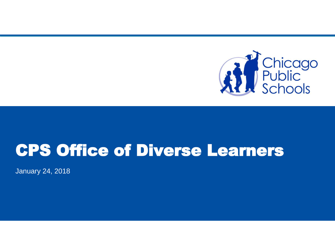

### CPS Office of Diverse Learners

January 24, 2018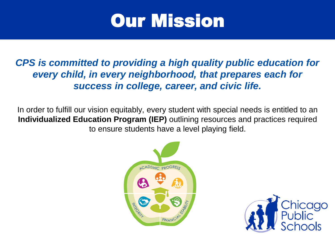

*CPS is committed to providing a high quality public education for every child, in every neighborhood, that prepares each for success in college, career, and civic life.*

In order to fulfill our vision equitably, every student with special needs is entitled to an **Individualized Education Program (IEP)** outlining resources and practices required to ensure students have a level playing field.



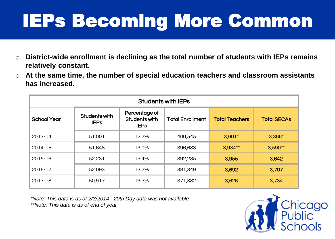# IEPs Becoming More Common

- o **District-wide enrollment is declining as the total number of students with IEPs remains relatively constant.**
- o **At the same time, the number of special education teachers and classroom assistants has increased.**

| <b>Students with IEPs</b> |                              |                                               |                         |                       |                    |
|---------------------------|------------------------------|-----------------------------------------------|-------------------------|-----------------------|--------------------|
| <b>School Year</b>        | Students with<br><b>IEPS</b> | Percentage of<br>Students with<br><b>IEPS</b> | <b>Total Enrollment</b> | <b>Total Teachers</b> | <b>Total SECAs</b> |
| 2013-14                   | 51,001                       | 12.7%                                         | 400,545                 | $3,601*$              | $3,366*$           |
| 2014-15                   | 51,648                       | 13.0%                                         | 396,683                 | 3,934**               | $3,590**$          |
| 2015-16                   | 52,231                       | 13.4%                                         | 392,285                 | 3,955                 | 3,642              |
| 2016-17                   | 52,093                       | 13.7%                                         | 381,349                 | 3,692                 | 3,707              |
| 2017-18                   | 50,917                       | 13.7%                                         | 371,382                 | 3,626                 | 3,734              |

*\*Note: This data is as of 2/3/2014 - 20th Day data was not available \*\*Note: This data is as of end of year* 

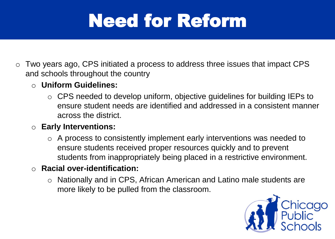# Need for Reform

- o Two years ago, CPS initiated a process to address three issues that impact CPS and schools throughout the country
	- o **Uniform Guidelines:**
		- o CPS needed to develop uniform, objective guidelines for building IEPs to ensure student needs are identified and addressed in a consistent manner across the district.
	- o **Early Interventions:**
		- $\circ$  A process to consistently implement early interventions was needed to ensure students received proper resources quickly and to prevent students from inappropriately being placed in a restrictive environment.
	- o **Racial over-identification:**
		- o Nationally and in CPS, African American and Latino male students are more likely to be pulled from the classroom.

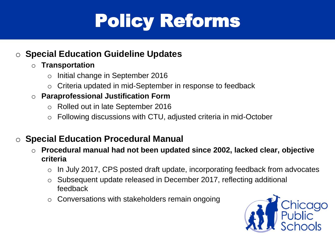# Policy Reforms

### o **Special Education Guideline Updates**

#### o **Transportation**

- Initial change in September 2016
- o Criteria updated in mid-September in response to feedback

#### o **Paraprofessional Justification Form**

- o Rolled out in late September 2016
- Following discussions with CTU, adjusted criteria in mid-October

### o **Special Education Procedural Manual**

- o **Procedural manual had not been updated since 2002, lacked clear, objective criteria**
	- In July 2017, CPS posted draft update, incorporating feedback from advocates
	- o Subsequent update released in December 2017, reflecting additional feedback
	- o Conversations with stakeholders remain ongoing

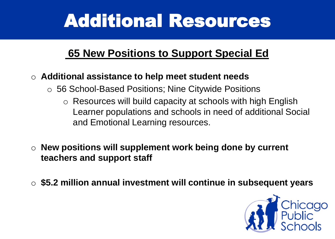## Additional Resources

### **65 New Positions to Support Special Ed**

#### o **Additional assistance to help meet student needs**

- o 56 School-Based Positions; Nine Citywide Positions
	- o Resources will build capacity at schools with high English Learner populations and schools in need of additional Social and Emotional Learning resources.
- o **New positions will supplement work being done by current teachers and support staff**
- o **\$5.2 million annual investment will continue in subsequent years**